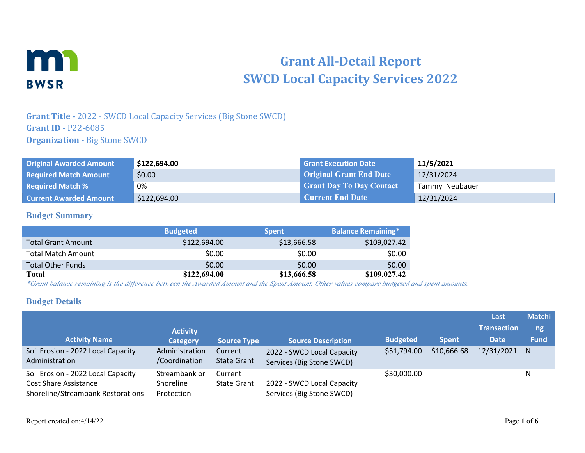

# **Grant All-Detail Report SWCD Local Capacity Services 2022**

# **Grant Title -** 2022 - SWCD Local Capacity Services (Big Stone SWCD) **Grant ID** - P22-6085 **Organization - Big Stone SWCD**

| <b>Original Awarded Amount</b> | \$122,694.00 | <b>Grant Execution Date</b>     | 11/5/2021      |
|--------------------------------|--------------|---------------------------------|----------------|
| <b>Required Match Amount</b>   | \$0.00       | <b>Original Grant End Date</b>  | 12/31/2024     |
| <b>Required Match %</b>        | 0%           | <b>Grant Day To Day Contact</b> | Tammy Neubauer |
| <b>Current Awarded Amount</b>  | \$122,694.00 | <b>Current End Date</b>         | 12/31/2024     |

#### **Budget Summary**

|                           | <b>Budgeted</b> | <b>Spent</b> | <b>Balance Remaining*</b> |
|---------------------------|-----------------|--------------|---------------------------|
| <b>Total Grant Amount</b> | \$122,694,00    | \$13,666.58  | \$109,027.42              |
| <b>Total Match Amount</b> | \$0.00          | \$0.00       | \$0.00                    |
| <b>Total Other Funds</b>  | \$0.00          | \$0.00       | \$0.00                    |
| <b>Total</b>              | \$122,694.00    | \$13,666.58  | \$109,027.42              |

*\*Grant balance remaining is the difference between the Awarded Amount and the Spent Amount. Other values compare budgeted and spent amounts.*

#### **Budget Details**

|                                                                                                         |                                          |                               |                                                         |                 |              | Last               | <b>Matchi</b> |
|---------------------------------------------------------------------------------------------------------|------------------------------------------|-------------------------------|---------------------------------------------------------|-----------------|--------------|--------------------|---------------|
|                                                                                                         | <b>Activity</b>                          |                               |                                                         |                 |              | <b>Transaction</b> | ng            |
| <b>Activity Name</b>                                                                                    | <b>Category</b>                          | <b>Source Type</b>            | <b>Source Description</b>                               | <b>Budgeted</b> | <b>Spent</b> | <b>Date</b>        | <b>Fund</b>   |
| Soil Erosion - 2022 Local Capacity<br>Administration                                                    | Administration<br>/Coordination          | Current<br><b>State Grant</b> | 2022 - SWCD Local Capacity<br>Services (Big Stone SWCD) | \$51,794.00     | \$10,666.68  | 12/31/2021 N       |               |
| Soil Erosion - 2022 Local Capacity<br><b>Cost Share Assistance</b><br>Shoreline/Streambank Restorations | Streambank or<br>Shoreline<br>Protection | Current<br><b>State Grant</b> | 2022 - SWCD Local Capacity<br>Services (Big Stone SWCD) | \$30,000.00     |              |                    | N             |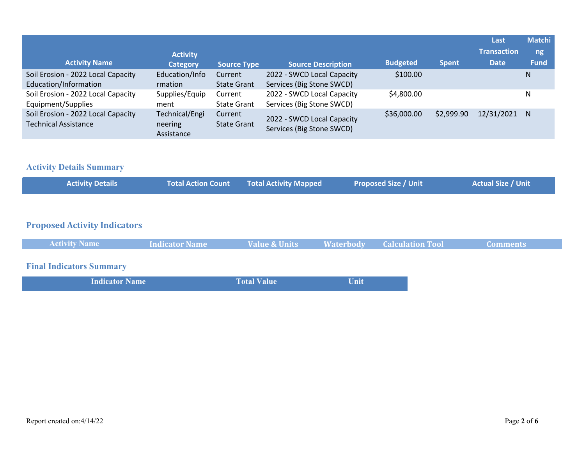|                                                                   | <b>Activity</b>                         |                               |                                                         |                 |              | Last<br><b>Transaction</b> | <b>Matchi</b><br>ng, |
|-------------------------------------------------------------------|-----------------------------------------|-------------------------------|---------------------------------------------------------|-----------------|--------------|----------------------------|----------------------|
| <b>Activity Name</b>                                              | <b>Category</b>                         | <b>Source Type</b>            | <b>Source Description</b>                               | <b>Budgeted</b> | <b>Spent</b> | <b>Date</b>                | <b>Fund</b>          |
| Soil Erosion - 2022 Local Capacity<br>Education/Information       | Education/Info<br>rmation               | Current<br><b>State Grant</b> | 2022 - SWCD Local Capacity<br>Services (Big Stone SWCD) | \$100.00        |              |                            | N                    |
| Soil Erosion - 2022 Local Capacity<br>Equipment/Supplies          | Supplies/Equip<br>ment                  | Current<br><b>State Grant</b> | 2022 - SWCD Local Capacity<br>Services (Big Stone SWCD) | \$4,800.00      |              |                            | N                    |
| Soil Erosion - 2022 Local Capacity<br><b>Technical Assistance</b> | Technical/Engi<br>neering<br>Assistance | Current<br><b>State Grant</b> | 2022 - SWCD Local Capacity<br>Services (Big Stone SWCD) | \$36,000.00     | \$2,999.90   | 12/31/2021                 | N.                   |

# **Activity Details Summary**

| <b>Activity Details</b>             | <b>Total Action Count</b> | <b>Total Activity Mapped</b> |                  | <b>Proposed Size / Unit</b> | <b>Actual Size / Unit</b> |
|-------------------------------------|---------------------------|------------------------------|------------------|-----------------------------|---------------------------|
|                                     |                           |                              |                  |                             |                           |
| <b>Proposed Activity Indicators</b> |                           |                              |                  |                             |                           |
| <b>Activity Name</b>                | <b>Indicator Name</b>     | <b>Value &amp; Units</b>     | <b>Waterbody</b> | <b>Calculation Tool</b>     | <b>Comments</b>           |
| <b>Final Indicators Summary</b>     |                           |                              |                  |                             |                           |

|  | <b>Indicator Name</b> | <b>Total Value</b> | Unit |  |
|--|-----------------------|--------------------|------|--|
|--|-----------------------|--------------------|------|--|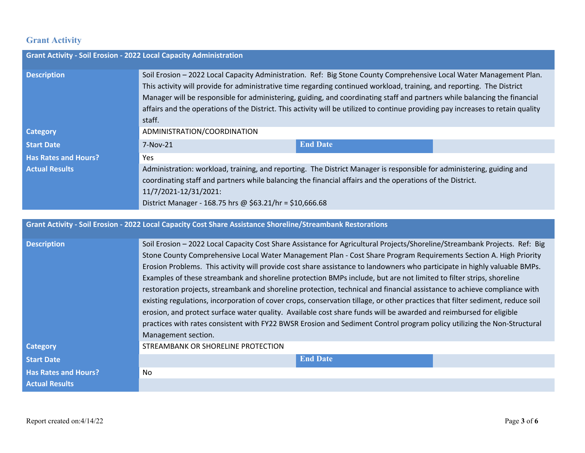### **Grant Activity**

| <b>Grant Activity - Soil Erosion - 2022 Local Capacity Administration</b> |                                                                                                                                                                                                                                                                                                                                                                                                                                                                                                                          |                 |  |
|---------------------------------------------------------------------------|--------------------------------------------------------------------------------------------------------------------------------------------------------------------------------------------------------------------------------------------------------------------------------------------------------------------------------------------------------------------------------------------------------------------------------------------------------------------------------------------------------------------------|-----------------|--|
| <b>Description</b>                                                        | Soil Erosion - 2022 Local Capacity Administration. Ref: Big Stone County Comprehensive Local Water Management Plan.<br>This activity will provide for administrative time regarding continued workload, training, and reporting. The District<br>Manager will be responsible for administering, guiding, and coordinating staff and partners while balancing the financial<br>affairs and the operations of the District. This activity will be utilized to continue providing pay increases to retain quality<br>staff. |                 |  |
| <b>Category</b>                                                           | ADMINISTRATION/COORDINATION                                                                                                                                                                                                                                                                                                                                                                                                                                                                                              |                 |  |
| <b>Start Date</b>                                                         | $7-Nov-21$                                                                                                                                                                                                                                                                                                                                                                                                                                                                                                               | <b>End Date</b> |  |
| <b>Has Rates and Hours?</b>                                               | <b>Yes</b>                                                                                                                                                                                                                                                                                                                                                                                                                                                                                                               |                 |  |
| <b>Actual Results</b>                                                     | Administration: workload, training, and reporting. The District Manager is responsible for administering, guiding and<br>coordinating staff and partners while balancing the financial affairs and the operations of the District.<br>11/7/2021-12/31/2021:<br>District Manager - 168.75 hrs @ \$63.21/hr = \$10,666.68                                                                                                                                                                                                  |                 |  |
|                                                                           |                                                                                                                                                                                                                                                                                                                                                                                                                                                                                                                          |                 |  |
|                                                                           | <b>Grant Activity - Soil Erosion - 2022 Local Capacity Cost Share Assistance Shoreline/Streambank Restorations</b>                                                                                                                                                                                                                                                                                                                                                                                                       |                 |  |

| <b>Description</b>          | Soil Erosion - 2022 Local Capacity Cost Share Assistance for Agricultural Projects/Shoreline/Streambank Projects. Ref: Big<br>Stone County Comprehensive Local Water Management Plan - Cost Share Program Requirements Section A. High Priority<br>Erosion Problems. This activity will provide cost share assistance to landowners who participate in highly valuable BMPs.<br>Examples of these streambank and shoreline protection BMPs include, but are not limited to filter strips, shoreline<br>restoration projects, streambank and shoreline protection, technical and financial assistance to achieve compliance with<br>existing regulations, incorporation of cover crops, conservation tillage, or other practices that filter sediment, reduce soil |
|-----------------------------|-------------------------------------------------------------------------------------------------------------------------------------------------------------------------------------------------------------------------------------------------------------------------------------------------------------------------------------------------------------------------------------------------------------------------------------------------------------------------------------------------------------------------------------------------------------------------------------------------------------------------------------------------------------------------------------------------------------------------------------------------------------------|
|                             | erosion, and protect surface water quality. Available cost share funds will be awarded and reimbursed for eligible                                                                                                                                                                                                                                                                                                                                                                                                                                                                                                                                                                                                                                                |
|                             | practices with rates consistent with FY22 BWSR Erosion and Sediment Control program policy utilizing the Non-Structural                                                                                                                                                                                                                                                                                                                                                                                                                                                                                                                                                                                                                                           |
|                             |                                                                                                                                                                                                                                                                                                                                                                                                                                                                                                                                                                                                                                                                                                                                                                   |
|                             | Management section.                                                                                                                                                                                                                                                                                                                                                                                                                                                                                                                                                                                                                                                                                                                                               |
| <b>Category</b>             | STREAMBANK OR SHORELINE PROTECTION                                                                                                                                                                                                                                                                                                                                                                                                                                                                                                                                                                                                                                                                                                                                |
| <b>Start Date</b>           | <b>End Date</b>                                                                                                                                                                                                                                                                                                                                                                                                                                                                                                                                                                                                                                                                                                                                                   |
| <b>Has Rates and Hours?</b> | No.                                                                                                                                                                                                                                                                                                                                                                                                                                                                                                                                                                                                                                                                                                                                                               |
| <b>Actual Results</b>       |                                                                                                                                                                                                                                                                                                                                                                                                                                                                                                                                                                                                                                                                                                                                                                   |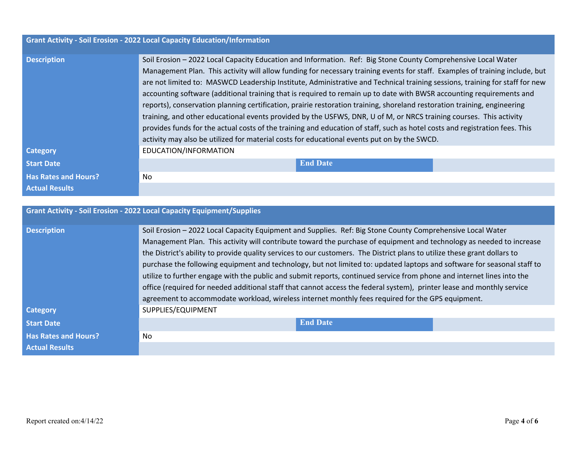|                                       | Grant Activity - Soil Erosion - 2022 Local Capacity Education/Information                                                                                                                                                                                                                                                                                                                                                                                                                                                                                                                                                                                                                                                                                                                                                                                                                                                                                                            |
|---------------------------------------|--------------------------------------------------------------------------------------------------------------------------------------------------------------------------------------------------------------------------------------------------------------------------------------------------------------------------------------------------------------------------------------------------------------------------------------------------------------------------------------------------------------------------------------------------------------------------------------------------------------------------------------------------------------------------------------------------------------------------------------------------------------------------------------------------------------------------------------------------------------------------------------------------------------------------------------------------------------------------------------|
| <b>Description</b>                    | Soil Erosion - 2022 Local Capacity Education and Information. Ref: Big Stone County Comprehensive Local Water<br>Management Plan. This activity will allow funding for necessary training events for staff. Examples of training include, but<br>are not limited to: MASWCD Leadership Institute, Administrative and Technical training sessions, training for staff for new<br>accounting software (additional training that is required to remain up to date with BWSR accounting requirements and<br>reports), conservation planning certification, prairie restoration training, shoreland restoration training, engineering<br>training, and other educational events provided by the USFWS, DNR, U of M, or NRCS training courses. This activity<br>provides funds for the actual costs of the training and education of staff, such as hotel costs and registration fees. This<br>activity may also be utilized for material costs for educational events put on by the SWCD. |
| <b>Category</b>                       | EDUCATION/INFORMATION                                                                                                                                                                                                                                                                                                                                                                                                                                                                                                                                                                                                                                                                                                                                                                                                                                                                                                                                                                |
| <b>Start Date</b>                     | <b>End Date</b>                                                                                                                                                                                                                                                                                                                                                                                                                                                                                                                                                                                                                                                                                                                                                                                                                                                                                                                                                                      |
| <b>Has Rates and Hours?</b>           | No                                                                                                                                                                                                                                                                                                                                                                                                                                                                                                                                                                                                                                                                                                                                                                                                                                                                                                                                                                                   |
| <b>Actual Results</b>                 |                                                                                                                                                                                                                                                                                                                                                                                                                                                                                                                                                                                                                                                                                                                                                                                                                                                                                                                                                                                      |
|                                       |                                                                                                                                                                                                                                                                                                                                                                                                                                                                                                                                                                                                                                                                                                                                                                                                                                                                                                                                                                                      |
|                                       | <b>Grant Activity - Soil Erosion - 2022 Local Capacity Equipment/Supplies</b>                                                                                                                                                                                                                                                                                                                                                                                                                                                                                                                                                                                                                                                                                                                                                                                                                                                                                                        |
| <b>Description</b><br><b>Category</b> | Soil Erosion - 2022 Local Capacity Equipment and Supplies. Ref: Big Stone County Comprehensive Local Water<br>Management Plan. This activity will contribute toward the purchase of equipment and technology as needed to increase<br>the District's ability to provide quality services to our customers. The District plans to utilize these grant dollars to<br>purchase the following equipment and technology, but not limited to: updated laptops and software for seasonal staff to<br>utilize to further engage with the public and submit reports, continued service from phone and internet lines into the<br>office (required for needed additional staff that cannot access the federal system), printer lease and monthly service<br>agreement to accommodate workload, wireless internet monthly fees required for the GPS equipment.<br>SUPPLIES/EQUIPMENT                                                                                                            |
|                                       |                                                                                                                                                                                                                                                                                                                                                                                                                                                                                                                                                                                                                                                                                                                                                                                                                                                                                                                                                                                      |
| <b>Start Date</b>                     | <b>End Date</b>                                                                                                                                                                                                                                                                                                                                                                                                                                                                                                                                                                                                                                                                                                                                                                                                                                                                                                                                                                      |
| <b>Has Rates and Hours?</b>           | No                                                                                                                                                                                                                                                                                                                                                                                                                                                                                                                                                                                                                                                                                                                                                                                                                                                                                                                                                                                   |
| <b>Actual Results</b>                 |                                                                                                                                                                                                                                                                                                                                                                                                                                                                                                                                                                                                                                                                                                                                                                                                                                                                                                                                                                                      |